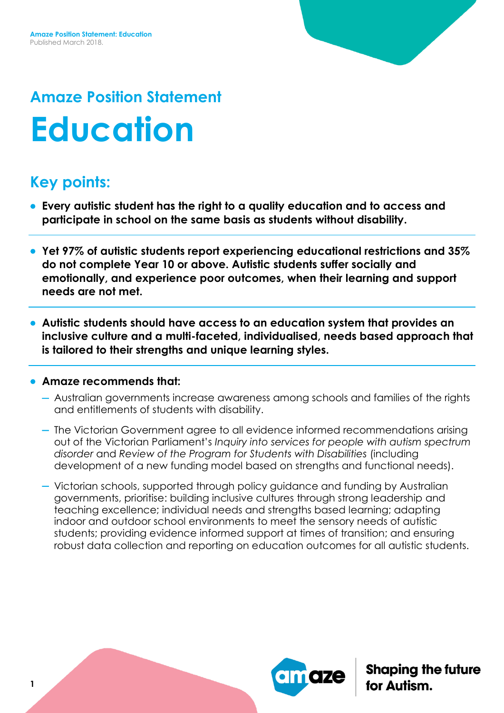# **Amaze Position Statement Education**

## **Key points:**

- **Every autistic student has the right to a quality education and to access and participate in school on the same basis as students without disability.**
- **Yet 97% of autistic students report experiencing educational restrictions and 35% do not complete Year 10 or above. Autistic students suffer socially and emotionally, and experience poor outcomes, when their learning and support needs are not met.**
- **Autistic students should have access to an education system that provides an inclusive culture and a multi-faceted, individualised, needs based approach that is tailored to their strengths and unique learning styles.**

#### **Amaze recommends that:**

- Australian governments increase awareness among schools and families of the rights and entitlements of students with disability.
- The Victorian Government agree to all evidence informed recommendations arising out of the Victorian Parliament's *Inquiry into services for people with autism spectrum disorder* and *Review of the Program for Students with Disabilities* (including development of a new funding model based on strengths and functional needs).
- Victorian schools, supported through policy guidance and funding by Australian governments, prioritise: building inclusive cultures through strong leadership and teaching excellence; individual needs and strengths based learning; adapting indoor and outdoor school environments to meet the sensory needs of autistic students; providing evidence informed support at times of transition; and ensuring robust data collection and reporting on education outcomes for all autistic students.

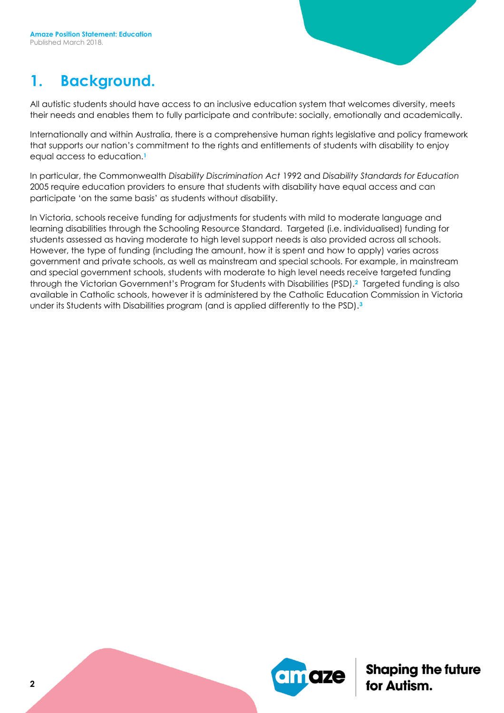#### **1. Background.**

All autistic students should have access to an inclusive education system that welcomes diversity, meets their needs and enables them to fully participate and contribute: socially, emotionally and academically.

Internationally and within Australia, there is a comprehensive human rights legislative and policy framework that supports our nation's commitment to the rights and entitlements of students with disability to enjoy equal access to education.**<sup>1</sup>**

In particular, the Commonwealth *Disability Discrimination Act* 1992 and *Disability Standards for Education*  2005 require education providers to ensure that students with disability have equal access and can participate 'on the same basis' as students without disability.

In Victoria, schools receive funding for adjustments for students with mild to moderate language and learning disabilities through the Schooling Resource Standard. Targeted (i.e. individualised) funding for students assessed as having moderate to high level support needs is also provided across all schools. However, the type of funding (including the amount, how it is spent and how to apply) varies across government and private schools, as well as mainstream and special schools. For example, in mainstream and special government schools, students with moderate to high level needs receive targeted funding through the Victorian Government's Program for Students with Disabilities (PSD).**2** Targeted funding is also available in Catholic schools, however it is administered by the Catholic Education Commission in Victoria under its Students with Disabilities program (and is applied differently to the PSD).**3**

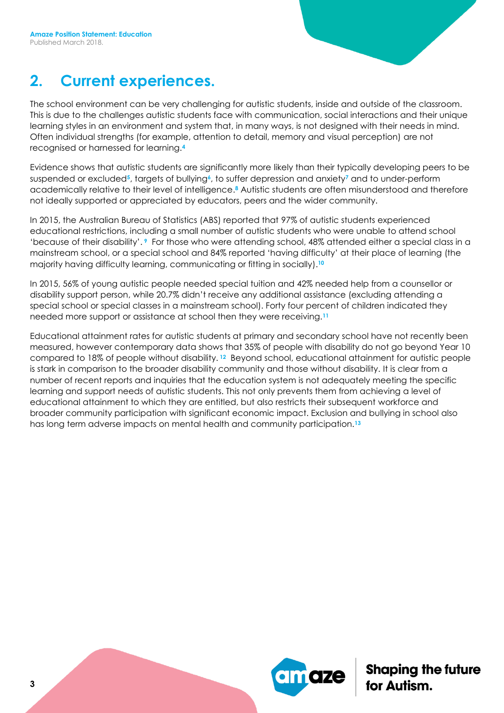#### **2. Current experiences.**

The school environment can be very challenging for autistic students, inside and outside of the classroom. This is due to the challenges autistic students face with communication, social interactions and their unique learning styles in an environment and system that, in many ways, is not designed with their needs in mind. Often individual strengths (for example, attention to detail, memory and visual perception) are not recognised or harnessed for learning.**<sup>4</sup>**

Evidence shows that autistic students are significantly more likely than their typically developing peers to be suspended or excluded**5**, targets of bullying**6**, to suffer depression and anxiety**<sup>7</sup>** and to under-perform academically relative to their level of intelligence. **<sup>8</sup>** Autistic students are often misunderstood and therefore not ideally supported or appreciated by educators, peers and the wider community.

In 2015, the Australian Bureau of Statistics (ABS) reported that 97% of autistic students experienced educational restrictions, including a small number of autistic students who were unable to attend school 'because of their disability'. **<sup>9</sup>** For those who were attending school, 48% attended either a special class in a mainstream school, or a special school and 84% reported 'having difficulty' at their place of learning (the majority having difficulty learning, communicating or fitting in socially). **10**

In 2015, 56% of young autistic people needed special tuition and 42% needed help from a counsellor or disability support person, while 20.7% didn't receive any additional assistance (excluding attending a special school or special classes in a mainstream school). Forty four percent of children indicated they needed more support or assistance at school then they were receiving.**<sup>11</sup>**

Educational attainment rates for autistic students at primary and secondary school have not recently been measured, however contemporary data shows that 35% of people with disability do not go beyond Year 10 compared to 18% of people without disability. **<sup>12</sup>** Beyond school, educational attainment for autistic people is stark in comparison to the broader disability community and those without disability. It is clear from a number of recent reports and inquiries that the education system is not adequately meeting the specific learning and support needs of autistic students. This not only prevents them from achieving a level of educational attainment to which they are entitled, but also restricts their subsequent workforce and broader community participation with significant economic impact. Exclusion and bullying in school also has long term adverse impacts on mental health and community participation.**13**

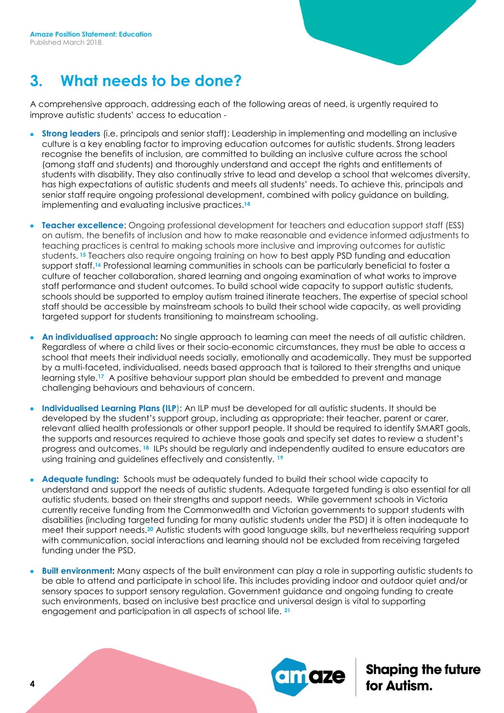#### **3. What needs to be done?**

A comprehensive approach, addressing each of the following areas of need, is urgently required to improve autistic students' access to education -

- **Strong leaders** (i.e. principals and senior staff): Leadership in implementing and modelling an inclusive culture is a key enabling factor to improving education outcomes for autistic students. Strong leaders recognise the benefits of inclusion, are committed to building an inclusive culture across the school (among staff and students) and thoroughly understand and accept the rights and entitlements of students with disability. They also continually strive to lead and develop a school that welcomes diversity, has high expectations of autistic students and meets all students' needs. To achieve this, principals and senior staff require ongoing professional development, combined with policy guidance on building, implementing and evaluating inclusive practices.**<sup>14</sup>**
- **Teacher excellence**: Ongoing professional development for teachers and education support staff (ESS) on autism, the benefits of inclusion and how to make reasonable and evidence informed adjustments to teaching practices is central to making schools more inclusive and improving outcomes for autistic students. **<sup>15</sup>** Teachers also require ongoing training on how to best apply PSD funding and education support staff.<sup>16</sup> Professional learning communities in schools can be particularly beneficial to foster a culture of teacher collaboration, shared learning and ongoing examination of what works to improve staff performance and student outcomes. To build school wide capacity to support autistic students, schools should be supported to employ autism trained itinerate teachers. The expertise of special school staff should be accessible by mainstream schools to build their school wide capacity, as well providing targeted support for students transitioning to mainstream schooling.
- **An individualised approach:** No single approach to learning can meet the needs of all autistic children. Regardless of where a child lives or their socio-economic circumstances, they must be able to access a school that meets their individual needs socially, emotionally and academically. They must be supported by a multi-faceted, individualised, needs based approach that is tailored to their strengths and unique learning style.**17** A positive behaviour support plan should be embedded to prevent and manage challenging behaviours and behaviours of concern.
- **Individualised Learning Plans (ILP**): An ILP must be developed for all autistic students. It should be developed by the student's support group, including as appropriate: their teacher, parent or carer, relevant allied health professionals or other support people. It should be required to identify SMART goals, the supports and resources required to achieve those goals and specify set dates to review a student's progress and outcomes. **<sup>18</sup>** ILPs should be regularly and independently audited to ensure educators are using training and guidelines effectively and consistently. **<sup>19</sup>**
- **Adequate funding:** Schools must be adequately funded to build their school wide capacity to understand and support the needs of autistic students. Adequate targeted funding is also essential for all autistic students, based on their strengths and support needs. While government schools in Victoria currently receive funding from the Commonwealth and Victorian governments to support students with disabilities (including targeted funding for many autistic students under the PSD) it is often inadequate to meet their support needs.**<sup>20</sup>** Autistic students with good language skills, but nevertheless requiring support with communication, social interactions and learning should not be excluded from receiving targeted funding under the PSD.
- **Built environment:** Many aspects of the built environment can play a role in supporting autistic students to be able to attend and participate in school life. This includes providing indoor and outdoor quiet and/or sensory spaces to support sensory regulation. Government guidance and ongoing funding to create such environments, based on inclusive best practice and universal design is vital to supporting engagement and participation in all aspects of school life. **21**

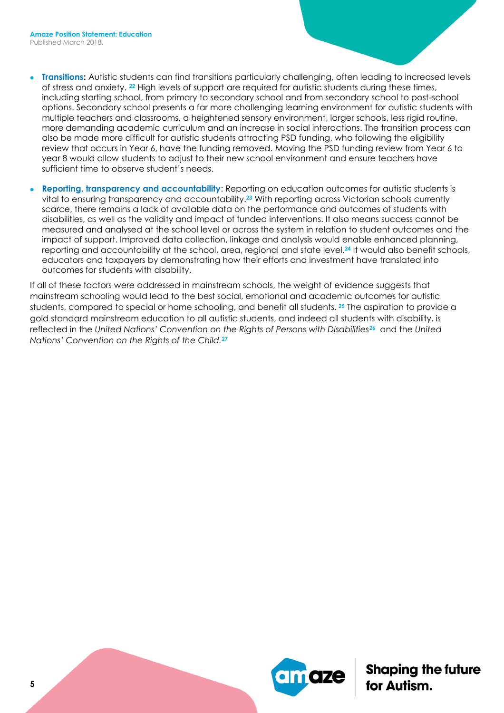- **Transitions:** Autistic students can find transitions particularly challenging, often leading to increased levels of stress and anxiety. **<sup>22</sup>** High levels of support are required for autistic students during these times, including starting school, from primary to secondary school and from secondary school to post-school options. Secondary school presents a far more challenging learning environment for autistic students with multiple teachers and classrooms, a heightened sensory environment, larger schools, less rigid routine, more demanding academic curriculum and an increase in social interactions. The transition process can also be made more difficult for autistic students attracting PSD funding, who following the eligibility review that occurs in Year 6, have the funding removed. Moving the PSD funding review from Year 6 to year 8 would allow students to adjust to their new school environment and ensure teachers have sufficient time to observe student's needs.
- **Reporting, transparency and accountability**: Reporting on education outcomes for autistic students is vital to ensuring transparency and accountability. **<sup>23</sup>** With reporting across Victorian schools currently scarce, there remains a lack of available data on the performance and outcomes of students with disabilities, as well as the validity and impact of funded interventions. It also means success cannot be measured and analysed at the school level or across the system in relation to student outcomes and the impact of support. Improved data collection, linkage and analysis would enable enhanced planning, reporting and accountability at the school, area, regional and state level.**<sup>24</sup>** It would also benefit schools, educators and taxpayers by demonstrating how their efforts and investment have translated into outcomes for students with disability.

If all of these factors were addressed in mainstream schools, the weight of evidence suggests that mainstream schooling would lead to the best social, emotional and academic outcomes for autistic students, compared to special or home schooling, and benefit all students. **<sup>25</sup>** The aspiration to provide a gold standard mainstream education to all autistic students, and indeed all students with disability, is reflected in the *United Nations' Convention on the Rights of Persons with Disabilities***26** and the *United Nations' Convention on the Rights of the Child.***27**

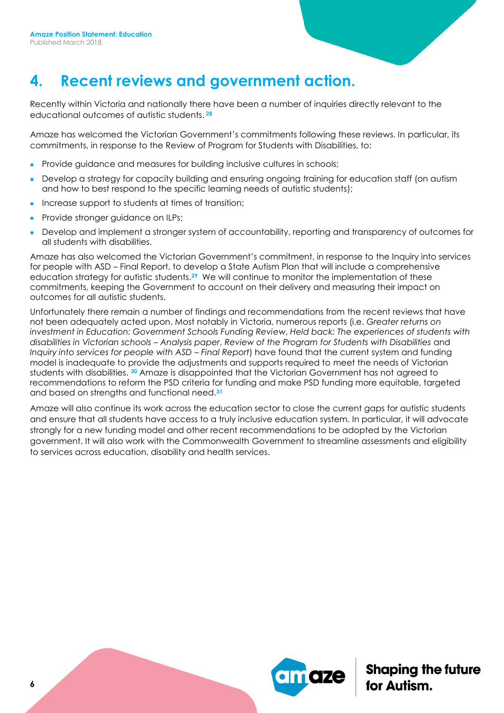#### **4. Recent reviews and government action.**

Recently within Victoria and nationally there have been a number of inquiries directly relevant to the educational outcomes of autistic students. **28**

Amaze has welcomed the Victorian Government's commitments following these reviews. In particular, its commitments, in response to the Review of Program for Students with Disabilities, to:

- Provide guidance and measures for building inclusive cultures in schools;
- Develop a strategy for capacity building and ensuring ongoing training for education staff (on autism and how to best respond to the specific learning needs of autistic students);
- Increase support to students at times of transition;
- Provide stronger guidance on ILPs;
- Develop and implement a stronger system of accountability, reporting and transparency of outcomes for all students with disabilities.

Amaze has also welcomed the Victorian Government's commitment, in response to the Inquiry into services for people with ASD – Final Report, to develop a State Autism Plan that will include a comprehensive education strategy for autistic students.**29** We will continue to monitor the implementation of these commitments, keeping the Government to account on their delivery and measuring their impact on outcomes for all autistic students.

Unfortunately there remain a number of findings and recommendations from the recent reviews that have not been adequately acted upon. Most notably in Victoria, numerous reports (i.e. *Greater returns on investment in Education: Government Schools Funding Review*, *Held back: The experiences of students with disabilities in Victorian schools – Analysis paper*, *Review of the Program for Students with Disabilities* and *Inquiry into services for people with ASD – Final Report)* have found that the current system and funding model is inadequate to provide the adjustments and supports required to meet the needs of Victorian students with disabilities. **<sup>30</sup>** Amaze is disappointed that the Victorian Government has not agreed to recommendations to reform the PSD criteria for funding and make PSD funding more equitable, targeted and based on strengths and functional need.**<sup>31</sup>**

Amaze will also continue its work across the education sector to close the current gaps for autistic students and ensure that all students have access to a truly inclusive education system. In particular, it will advocate strongly for a new funding model and other recent recommendations to be adopted by the Victorian government. It will also work with the Commonwealth Government to streamline assessments and eligibility to services across education, disability and health services.

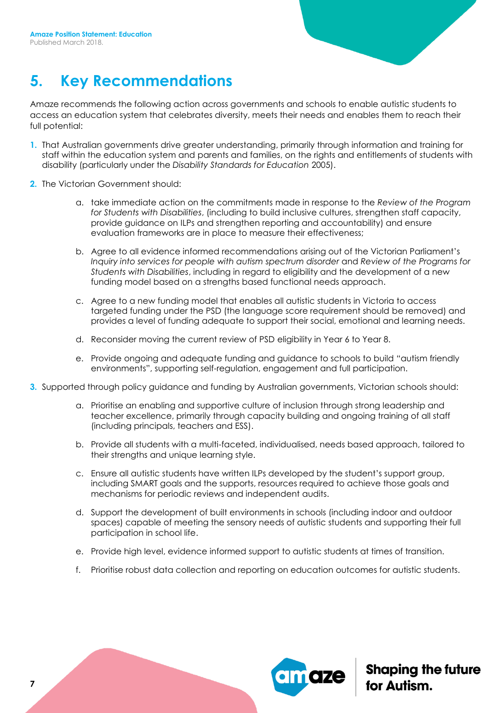## **5. Key Recommendations**

Amaze recommends the following action across governments and schools to enable autistic students to access an education system that celebrates diversity, meets their needs and enables them to reach their full potential:

- **1.** That Australian governments drive greater understanding, primarily through information and training for staff within the education system and parents and families, on the rights and entitlements of students with disability (particularly under the *Disability Standards for Education* 2005).
- **2.** The Victorian Government should:
	- a. take immediate action on the commitments made in response to the *Review of the Program for Students with Disabilities*, (including to build inclusive cultures, strengthen staff capacity, provide guidance on ILPs and strengthen reporting and accountability) and ensure evaluation frameworks are in place to measure their effectiveness;
	- b. Agree to all evidence informed recommendations arising out of the Victorian Parliament's *Inquiry into services for people with autism spectrum disorder* and *Review of the Programs for Students with Disabilities*, including in regard to eligibility and the development of a new funding model based on a strengths based functional needs approach.
	- c. Agree to a new funding model that enables all autistic students in Victoria to access targeted funding under the PSD (the language score requirement should be removed) and provides a level of funding adequate to support their social, emotional and learning needs.
	- d. Reconsider moving the current review of PSD eligibility in Year 6 to Year 8.
	- e. Provide ongoing and adequate funding and guidance to schools to build "autism friendly environments", supporting self-regulation, engagement and full participation.
- **3.** Supported through policy guidance and funding by Australian governments, Victorian schools should:
	- a. Prioritise an enabling and supportive culture of inclusion through strong leadership and teacher excellence, primarily through capacity building and ongoing training of all staff (including principals, teachers and ESS).
	- b. Provide all students with a multi-faceted, individualised, needs based approach, tailored to their strengths and unique learning style.
	- c. Ensure all autistic students have written ILPs developed by the student's support group, including SMART goals and the supports, resources required to achieve those goals and mechanisms for periodic reviews and independent audits.
	- d. Support the development of built environments in schools (including indoor and outdoor spaces) capable of meeting the sensory needs of autistic students and supporting their full participation in school life.
	- e. Provide high level, evidence informed support to autistic students at times of transition.
	- f. Prioritise robust data collection and reporting on education outcomes for autistic students.

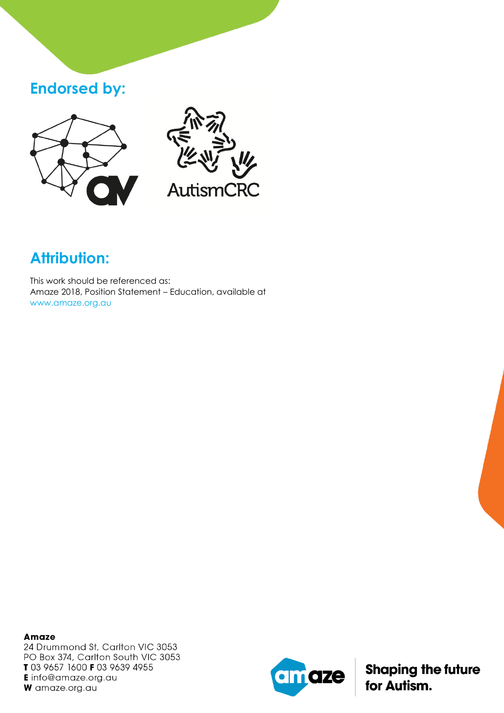#### **Endorsed by:**





# **Attribution:**

This work should be referenced as: Amaze 2018, Position Statement – Education, available at www.amaze.org.au

**Amaze** 24 Drummond St, Carlton VIC 3053 PO Box 374, Carlton South VIC 3053 T 03 9657 1600 F 03 9639 4955 **E** info@amaze.org.au W amaze.org.au

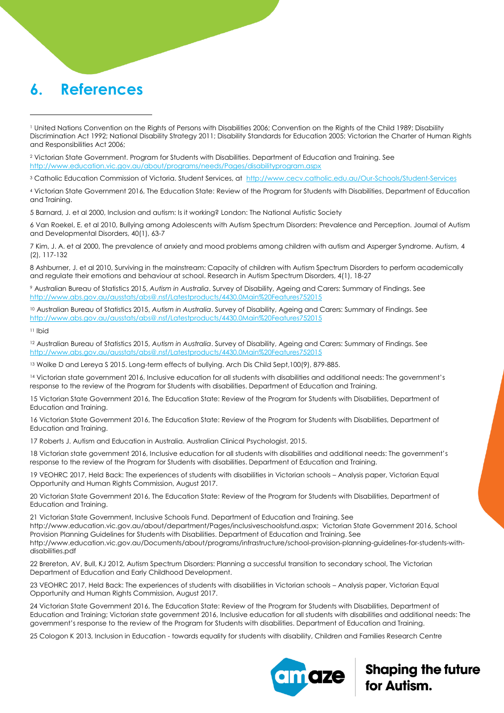#### **6. References**

<sup>2</sup> Victorian State Government. Program for Students with Disabilities. Department of Education and Training. See <http://www.education.vic.gov.au/about/programs/needs/Pages/disabilityprogram.aspx>

<sup>3</sup> Catholic Education Commission of Victoria. Student Services, at<http://www.cecv.catholic.edu.au/Our-Schools/Student-Services>

<sup>4</sup> Victorian State Government 2016, The Education State: Review of the Program for Students with Disabilities, Department of Education and Training.

5 Barnard, J. et al 2000, Inclusion and autism: Is it working? London: The National Autistic Society

6 Van Roekel, E. et al 2010, Bullying among Adolescents with Autism Spectrum Disorders: Prevalence and Perception. Journal of Autism and Developmental Disorders, 40(1), 63-7

7 Kim, J. A. et al 2000, The prevalence of anxiety and mood problems among children with autism and Asperger Syndrome. Autism, 4 (2), 117-132

8 Ashburner, J. et al 2010, Surviving in the mainstream: Capacity of children with Autism Spectrum Disorders to perform academically and regulate their emotions and behaviour at school. Research in Autism Spectrum Disorders, 4(1), 18-27

<sup>9</sup> Australian Bureau of Statistics 2015, *Autism in Australia*. Survey of Disability, Ageing and Carers: Summary of Findings. See <http://www.abs.gov.au/ausstats/abs@.nsf/Latestproducts/4430.0Main%20Features752015>

<sup>10</sup> Australian Bureau of Statistics 2015, *Autism in Australia*. Survey of Disability, Ageing and Carers: Summary of Findings. See <http://www.abs.gov.au/ausstats/abs@.nsf/Latestproducts/4430.0Main%20Features752015>

<sup>11</sup> Ibid

 $\overline{a}$ 

<sup>12</sup> Australian Bureau of Statistics 2015, *Autism in Australia*. Survey of Disability, Ageing and Carers: Summary of Findings. See <http://www.abs.gov.au/ausstats/abs@.nsf/Latestproducts/4430.0Main%20Features752015>

<sup>13</sup> Wolke D and Lereya S 2015. Long-term effects of bullying. Arch Dis Child Sept,100(9), 879-885.

<sup>14</sup> Victorian state government 2016, Inclusive education for all students with disabilities and additional needs: The government's response to the review of the Program for Students with disabilities. Department of Education and Training.

15 Victorian State Government 2016, The Education State: Review of the Program for Students with Disabilities, Department of Education and Training.

16 Victorian State Government 2016, The Education State: Review of the Program for Students with Disabilities, Department of Education and Training.

17 Roberts J. Autism and Education in Australia. Australian Clinical Psychologist, 2015.

18 Victorian state government 2016, Inclusive education for all students with disabilities and additional needs: The government's response to the review of the Program for Students with disabilities. Department of Education and Training.

19 VEOHRC 2017, Held Back: The experiences of students with disabilities in Victorian schools – Analysis paper, Victorian Equal Opportunity and Human Rights Commission, August 2017.

20 Victorian State Government 2016, The Education State: Review of the Program for Students with Disabilities, Department of Education and Training.

21 Victorian State Government, Inclusive Schools Fund. Department of Education and Training. See [http://www.education.vic.gov.au/about/department/Pages/inclusiveschoolsfund.aspx;](http://www.education.vic.gov.au/about/department/Pages/inclusiveschoolsfund.aspx) Victorian State Government 2016, School Provision Planning Guidelines for Students with Disabilities. Department of Education and Training. See http://www.education.vic.gov.au/Documents/about/programs/infrastructure/school-provision-planning-guidelines-for-students-withdisabilities.pdf

22 Brereton, AV, Bull, KJ 2012, Autism Spectrum Disorders: Planning a successful transition to secondary school, The Victorian Department of Education and Early Childhood Development.

23 VEOHRC 2017, Held Back: The experiences of students with disabilities in Victorian schools – Analysis paper, Victorian Equal Opportunity and Human Rights Commission, August 2017.

24 Victorian State Government 2016, The Education State: Review of the Program for Students with Disabilities, Department of Education and Training; Victorian state government 2016, Inclusive education for all students with disabilities and additional needs: The government's response to the review of the Program for Students with disabilities. Department of Education and Training.

25 Cologon K 2013, Inclusion in Education - towards equality for students with disability, Children and Families Research Centre



<sup>1</sup> United Nations Convention on the Rights of Persons with Disabilities 2006; Convention on the Rights of the Child 1989; Disability Discrimination Act 1992; National Disability Strategy 2011; Disability Standards for Education 2005; Victorian the Charter of Human Rights and Responsibilities Act 2006;